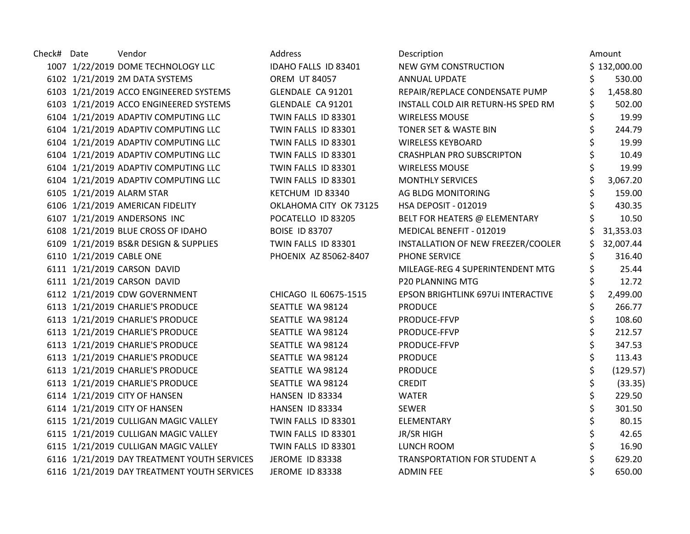| Check# Date | Vendor                                      | Address                | Description                        | Amount         |
|-------------|---------------------------------------------|------------------------|------------------------------------|----------------|
|             | 1007 1/22/2019 DOME TECHNOLOGY LLC          | IDAHO FALLS ID 83401   | NEW GYM CONSTRUCTION               | \$132,000.00   |
|             | 6102 1/21/2019 2M DATA SYSTEMS              | <b>OREM UT 84057</b>   | <b>ANNUAL UPDATE</b>               | 530.00         |
|             | 6103 1/21/2019 ACCO ENGINEERED SYSTEMS      | GLENDALE CA 91201      | REPAIR/REPLACE CONDENSATE PUMP     | 1,458.80       |
|             | 6103 1/21/2019 ACCO ENGINEERED SYSTEMS      | GLENDALE CA 91201      | INSTALL COLD AIR RETURN-HS SPED RM | 502.00         |
|             | 6104 1/21/2019 ADAPTIV COMPUTING LLC        | TWIN FALLS ID 83301    | <b>WIRELESS MOUSE</b>              | 19.99          |
|             | 6104 1/21/2019 ADAPTIV COMPUTING LLC        | TWIN FALLS ID 83301    | TONER SET & WASTE BIN              | 244.79         |
|             | 6104 1/21/2019 ADAPTIV COMPUTING LLC        | TWIN FALLS ID 83301    | <b>WIRELESS KEYBOARD</b>           | 19.99          |
|             | 6104 1/21/2019 ADAPTIV COMPUTING LLC        | TWIN FALLS ID 83301    | <b>CRASHPLAN PRO SUBSCRIPTON</b>   | 10.49          |
|             | 6104 1/21/2019 ADAPTIV COMPUTING LLC        | TWIN FALLS ID 83301    | <b>WIRELESS MOUSE</b>              | \$<br>19.99    |
|             | 6104 1/21/2019 ADAPTIV COMPUTING LLC        | TWIN FALLS ID 83301    | <b>MONTHLY SERVICES</b>            | \$<br>3,067.20 |
|             | 6105 1/21/2019 ALARM STAR                   | KETCHUM ID 83340       | AG BLDG MONITORING                 | 159.00         |
|             | 6106 1/21/2019 AMERICAN FIDELITY            | OKLAHOMA CITY OK 73125 | HSA DEPOSIT - 012019               | 430.35         |
|             | 6107 1/21/2019 ANDERSONS INC                | POCATELLO ID 83205     | BELT FOR HEATERS @ ELEMENTARY      | 10.50          |
|             | 6108 1/21/2019 BLUE CROSS OF IDAHO          | <b>BOISE ID 83707</b>  | MEDICAL BENEFIT - 012019           | 31,353.03      |
|             | 6109 1/21/2019 BS&R DESIGN & SUPPLIES       | TWIN FALLS ID 83301    | INSTALLATION OF NEW FREEZER/COOLER | 32,007.44      |
|             | 6110 1/21/2019 CABLE ONE                    | PHOENIX AZ 85062-8407  | PHONE SERVICE                      | 316.40         |
|             | 6111 1/21/2019 CARSON DAVID                 |                        | MILEAGE-REG 4 SUPERINTENDENT MTG   | 25.44          |
|             | 6111 1/21/2019 CARSON DAVID                 |                        | P20 PLANNING MTG                   | 12.72          |
|             | 6112 1/21/2019 CDW GOVERNMENT               | CHICAGO IL 60675-1515  | EPSON BRIGHTLINK 697Ui INTERACTIVE | \$<br>2,499.00 |
|             | 6113 1/21/2019 CHARLIE'S PRODUCE            | SEATTLE WA 98124       | <b>PRODUCE</b>                     | 266.77         |
|             | 6113 1/21/2019 CHARLIE'S PRODUCE            | SEATTLE WA 98124       | PRODUCE-FFVP                       | 108.60         |
|             | 6113 1/21/2019 CHARLIE'S PRODUCE            | SEATTLE WA 98124       | PRODUCE-FFVP                       | 212.57         |
|             | 6113 1/21/2019 CHARLIE'S PRODUCE            | SEATTLE WA 98124       | PRODUCE-FFVP                       | 347.53         |
|             | 6113 1/21/2019 CHARLIE'S PRODUCE            | SEATTLE WA 98124       | <b>PRODUCE</b>                     | \$<br>113.43   |
|             | 6113 1/21/2019 CHARLIE'S PRODUCE            | SEATTLE WA 98124       | <b>PRODUCE</b>                     | (129.57)       |
|             | 6113 1/21/2019 CHARLIE'S PRODUCE            | SEATTLE WA 98124       | <b>CREDIT</b>                      | (33.35)        |
|             | 6114 1/21/2019 CITY OF HANSEN               | HANSEN ID 83334        | <b>WATER</b>                       | 229.50         |
|             | 6114 1/21/2019 CITY OF HANSEN               | HANSEN ID 83334        | <b>SEWER</b>                       | 301.50         |
|             | 6115 1/21/2019 CULLIGAN MAGIC VALLEY        | TWIN FALLS ID 83301    | ELEMENTARY                         | \$<br>80.15    |
|             | 6115 1/21/2019 CULLIGAN MAGIC VALLEY        | TWIN FALLS ID 83301    | JR/SR HIGH                         | 42.65          |
|             | 6115 1/21/2019 CULLIGAN MAGIC VALLEY        | TWIN FALLS ID 83301    | LUNCH ROOM                         | 16.90          |
|             | 6116 1/21/2019 DAY TREATMENT YOUTH SERVICES | <b>JEROME ID 83338</b> | TRANSPORTATION FOR STUDENT A       | 629.20         |
|             | 6116 1/21/2019 DAY TREATMENT YOUTH SERVICES | JEROME ID 83338        | <b>ADMIN FEE</b>                   | 650.00         |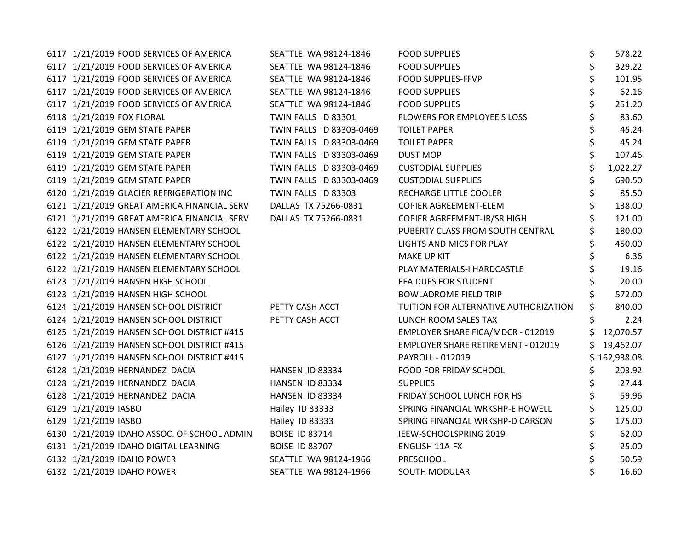| 6117 1/21/2019 FOOD SERVICES OF AMERICA     | SEATTLE WA 98124-1846    | <b>FOOD SUPPLIES</b>                      | \$<br>578.22    |
|---------------------------------------------|--------------------------|-------------------------------------------|-----------------|
| 6117 1/21/2019 FOOD SERVICES OF AMERICA     | SEATTLE WA 98124-1846    | <b>FOOD SUPPLIES</b>                      | \$<br>329.22    |
| 6117 1/21/2019 FOOD SERVICES OF AMERICA     | SEATTLE WA 98124-1846    | <b>FOOD SUPPLIES-FFVP</b>                 | \$<br>101.95    |
| 6117 1/21/2019 FOOD SERVICES OF AMERICA     | SEATTLE WA 98124-1846    | <b>FOOD SUPPLIES</b>                      | 62.16           |
| 6117 1/21/2019 FOOD SERVICES OF AMERICA     | SEATTLE WA 98124-1846    | <b>FOOD SUPPLIES</b>                      | \$<br>251.20    |
| 6118 1/21/2019 FOX FLORAL                   | TWIN FALLS ID 83301      | FLOWERS FOR EMPLOYEE'S LOSS               | 83.60           |
| 6119 1/21/2019 GEM STATE PAPER              | TWIN FALLS ID 83303-0469 | <b>TOILET PAPER</b>                       | 45.24           |
| 6119 1/21/2019 GEM STATE PAPER              | TWIN FALLS ID 83303-0469 | <b>TOILET PAPER</b>                       | \$<br>45.24     |
| 6119 1/21/2019 GEM STATE PAPER              | TWIN FALLS ID 83303-0469 | <b>DUST MOP</b>                           | \$<br>107.46    |
| 6119 1/21/2019 GEM STATE PAPER              | TWIN FALLS ID 83303-0469 | <b>CUSTODIAL SUPPLIES</b>                 | \$<br>1,022.27  |
| 6119 1/21/2019 GEM STATE PAPER              | TWIN FALLS ID 83303-0469 | <b>CUSTODIAL SUPPLIES</b>                 | \$<br>690.50    |
| 6120 1/21/2019 GLACIER REFRIGERATION INC    | TWIN FALLS ID 83303      | RECHARGE LITTLE COOLER                    | \$<br>85.50     |
| 6121 1/21/2019 GREAT AMERICA FINANCIAL SERV | DALLAS TX 75266-0831     | COPIER AGREEMENT-ELEM                     | 138.00          |
| 6121 1/21/2019 GREAT AMERICA FINANCIAL SERV | DALLAS TX 75266-0831     | COPIER AGREEMENT-JR/SR HIGH               | 121.00          |
| 6122 1/21/2019 HANSEN ELEMENTARY SCHOOL     |                          | PUBERTY CLASS FROM SOUTH CENTRAL          | 180.00          |
| 6122 1/21/2019 HANSEN ELEMENTARY SCHOOL     |                          | LIGHTS AND MICS FOR PLAY                  | 450.00          |
| 6122 1/21/2019 HANSEN ELEMENTARY SCHOOL     |                          | <b>MAKE UP KIT</b>                        | 6.36            |
| 6122 1/21/2019 HANSEN ELEMENTARY SCHOOL     |                          | PLAY MATERIALS-I HARDCASTLE               | 19.16           |
| 6123 1/21/2019 HANSEN HIGH SCHOOL           |                          | FFA DUES FOR STUDENT                      | 20.00           |
| 6123 1/21/2019 HANSEN HIGH SCHOOL           |                          | <b>BOWLADROME FIELD TRIP</b>              | \$<br>572.00    |
| 6124 1/21/2019 HANSEN SCHOOL DISTRICT       | PETTY CASH ACCT          | TUITION FOR ALTERNATIVE AUTHORIZATION     | \$<br>840.00    |
| 6124 1/21/2019 HANSEN SCHOOL DISTRICT       | PETTY CASH ACCT          | LUNCH ROOM SALES TAX                      | 2.24            |
| 6125 1/21/2019 HANSEN SCHOOL DISTRICT #415  |                          | EMPLOYER SHARE FICA/MDCR - 012019         | 12,070.57       |
| 6126 1/21/2019 HANSEN SCHOOL DISTRICT #415  |                          | <b>EMPLOYER SHARE RETIREMENT - 012019</b> | \$<br>19,462.07 |
| 6127 1/21/2019 HANSEN SCHOOL DISTRICT #415  |                          | PAYROLL - 012019                          | \$162,938.08    |
| 6128 1/21/2019 HERNANDEZ DACIA              | HANSEN ID 83334          | FOOD FOR FRIDAY SCHOOL                    | 203.92          |
| 6128 1/21/2019 HERNANDEZ DACIA              | HANSEN ID 83334          | <b>SUPPLIES</b>                           | 27.44           |
| 6128 1/21/2019 HERNANDEZ DACIA              | HANSEN ID 83334          | FRIDAY SCHOOL LUNCH FOR HS                | 59.96           |
| 6129 1/21/2019 IASBO                        | Hailey ID 83333          | SPRING FINANCIAL WRKSHP-E HOWELL          | 125.00          |
| 6129 1/21/2019 IASBO                        | Hailey ID 83333          | SPRING FINANCIAL WRKSHP-D CARSON          | \$<br>175.00    |
| 6130 1/21/2019 IDAHO ASSOC. OF SCHOOL ADMIN | <b>BOISE ID 83714</b>    | IEEW-SCHOOLSPRING 2019                    | 62.00           |
| 6131 1/21/2019 IDAHO DIGITAL LEARNING       | <b>BOISE ID 83707</b>    | ENGLISH 11A-FX                            | \$<br>25.00     |
| 6132 1/21/2019 IDAHO POWER                  | SEATTLE WA 98124-1966    | PRESCHOOL                                 | 50.59           |
| 6132 1/21/2019 IDAHO POWER                  | SEATTLE WA 98124-1966    | SOUTH MODULAR                             | 16.60           |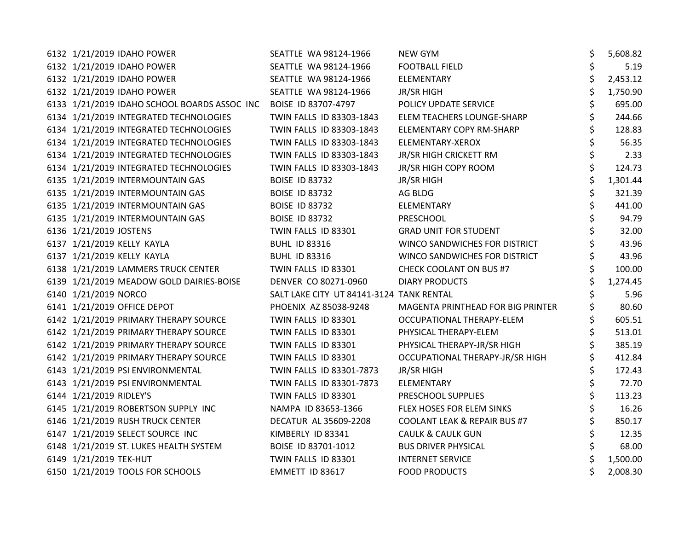| 6132 1/21/2019 IDAHO POWER                                       | SEATTLE WA 98124-1966                    | NEW GYM                           | \$<br>5,608.82 |
|------------------------------------------------------------------|------------------------------------------|-----------------------------------|----------------|
| 6132 1/21/2019 IDAHO POWER                                       | SEATTLE WA 98124-1966                    | <b>FOOTBALL FIELD</b>             | \$<br>5.19     |
| 6132 1/21/2019 IDAHO POWER                                       | SEATTLE WA 98124-1966                    | ELEMENTARY                        | \$<br>2,453.12 |
| 6132 1/21/2019 IDAHO POWER                                       | SEATTLE WA 98124-1966                    | <b>JR/SR HIGH</b>                 | 1,750.90       |
| 6133 1/21/2019 IDAHO SCHOOL BOARDS ASSOC INC BOISE ID 83707-4797 |                                          | POLICY UPDATE SERVICE             | 695.00         |
| 6134 1/21/2019 INTEGRATED TECHNOLOGIES                           | TWIN FALLS ID 83303-1843                 | ELEM TEACHERS LOUNGE-SHARP        | \$<br>244.66   |
| 6134 1/21/2019 INTEGRATED TECHNOLOGIES                           | TWIN FALLS ID 83303-1843                 | <b>ELEMENTARY COPY RM-SHARP</b>   | 128.83         |
| 6134 1/21/2019 INTEGRATED TECHNOLOGIES                           | TWIN FALLS ID 83303-1843                 | ELEMENTARY-XEROX                  | 56.35          |
| 6134 1/21/2019 INTEGRATED TECHNOLOGIES                           | TWIN FALLS ID 83303-1843                 | JR/SR HIGH CRICKETT RM            | 2.33           |
| 6134 1/21/2019 INTEGRATED TECHNOLOGIES                           | TWIN FALLS ID 83303-1843                 | JR/SR HIGH COPY ROOM              | 124.73         |
| 6135 1/21/2019 INTERMOUNTAIN GAS                                 | <b>BOISE ID 83732</b>                    | <b>JR/SR HIGH</b>                 | \$<br>1,301.44 |
| 6135 1/21/2019 INTERMOUNTAIN GAS                                 | <b>BOISE ID 83732</b>                    | AG BLDG                           | 321.39         |
| 6135 1/21/2019 INTERMOUNTAIN GAS                                 | <b>BOISE ID 83732</b>                    | ELEMENTARY                        | 441.00         |
| 6135 1/21/2019 INTERMOUNTAIN GAS                                 | <b>BOISE ID 83732</b>                    | PRESCHOOL                         | 94.79          |
| 6136 1/21/2019 JOSTENS                                           | TWIN FALLS ID 83301                      | <b>GRAD UNIT FOR STUDENT</b>      | 32.00          |
| 6137 1/21/2019 KELLY KAYLA                                       | <b>BUHL ID 83316</b>                     | WINCO SANDWICHES FOR DISTRICT     | 43.96          |
| 6137 1/21/2019 KELLY KAYLA                                       | <b>BUHL ID 83316</b>                     | WINCO SANDWICHES FOR DISTRICT     | 43.96          |
| 6138 1/21/2019 LAMMERS TRUCK CENTER                              | TWIN FALLS ID 83301                      | <b>CHECK COOLANT ON BUS #7</b>    | 100.00         |
| 6139 1/21/2019 MEADOW GOLD DAIRIES-BOISE                         | DENVER CO 80271-0960                     | <b>DIARY PRODUCTS</b>             | 1,274.45       |
| 6140 1/21/2019 NORCO                                             | SALT LAKE CITY UT 84141-3124 TANK RENTAL |                                   | 5.96           |
| 6141 1/21/2019 OFFICE DEPOT                                      | PHOENIX AZ 85038-9248                    | MAGENTA PRINTHEAD FOR BIG PRINTER | 80.60          |
| 6142 1/21/2019 PRIMARY THERAPY SOURCE                            | TWIN FALLS ID 83301                      | OCCUPATIONAL THERAPY-ELEM         | 605.51         |
| 6142 1/21/2019 PRIMARY THERAPY SOURCE                            | TWIN FALLS ID 83301                      | PHYSICAL THERAPY-ELEM             | 513.01         |
| 6142 1/21/2019 PRIMARY THERAPY SOURCE                            | TWIN FALLS ID 83301                      | PHYSICAL THERAPY-JR/SR HIGH       | 385.19         |
| 6142 1/21/2019 PRIMARY THERAPY SOURCE                            | TWIN FALLS ID 83301                      | OCCUPATIONAL THERAPY-JR/SR HIGH   | 412.84         |
| 6143 1/21/2019 PSI ENVIRONMENTAL                                 | TWIN FALLS ID 83301-7873                 | <b>JR/SR HIGH</b>                 | 172.43         |
| 6143 1/21/2019 PSI ENVIRONMENTAL                                 | TWIN FALLS ID 83301-7873                 | ELEMENTARY                        | 72.70          |
| 6144 1/21/2019 RIDLEY'S                                          | TWIN FALLS ID 83301                      | PRESCHOOL SUPPLIES                | 113.23         |
| 6145 1/21/2019 ROBERTSON SUPPLY INC                              | NAMPA ID 83653-1366                      | FLEX HOSES FOR ELEM SINKS         | 16.26          |
| 6146 1/21/2019 RUSH TRUCK CENTER                                 | DECATUR AL 35609-2208                    | COOLANT LEAK & REPAIR BUS #7      | \$<br>850.17   |
| 6147 1/21/2019 SELECT SOURCE INC                                 | KIMBERLY ID 83341                        | <b>CAULK &amp; CAULK GUN</b>      | 12.35          |
| 6148 1/21/2019 ST. LUKES HEALTH SYSTEM                           | BOISE ID 83701-1012                      | <b>BUS DRIVER PHYSICAL</b>        | 68.00          |
| 6149 1/21/2019 TEK-HUT                                           | TWIN FALLS ID 83301                      | <b>INTERNET SERVICE</b>           | 1,500.00       |
| 6150 1/21/2019 TOOLS FOR SCHOOLS                                 | EMMETT ID 83617                          | <b>FOOD PRODUCTS</b>              | 2,008.30       |